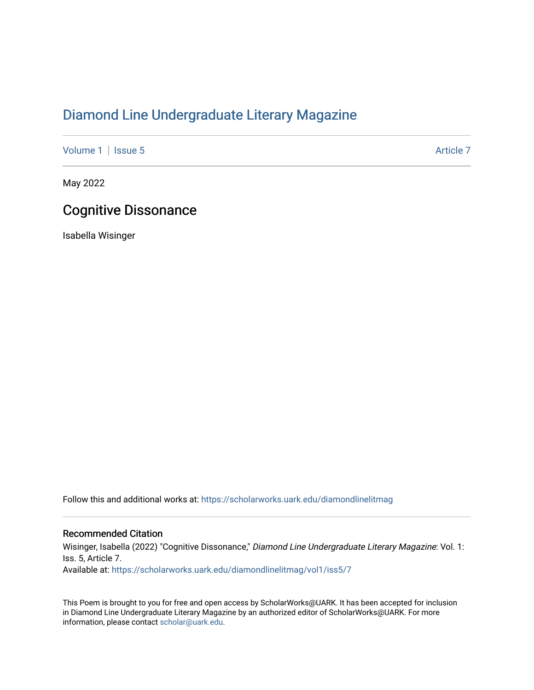## [Diamond Line Undergraduate Literary Magazine](https://scholarworks.uark.edu/diamondlinelitmag)

[Volume 1](https://scholarworks.uark.edu/diamondlinelitmag/vol1) | [Issue 5](https://scholarworks.uark.edu/diamondlinelitmag/vol1/iss5) Article 7

May 2022

## Cognitive Dissonance

Isabella Wisinger

Follow this and additional works at: [https://scholarworks.uark.edu/diamondlinelitmag](https://scholarworks.uark.edu/diamondlinelitmag?utm_source=scholarworks.uark.edu%2Fdiamondlinelitmag%2Fvol1%2Fiss5%2F7&utm_medium=PDF&utm_campaign=PDFCoverPages) 

## Recommended Citation

Wisinger, Isabella (2022) "Cognitive Dissonance," Diamond Line Undergraduate Literary Magazine: Vol. 1: Iss. 5, Article 7. Available at: [https://scholarworks.uark.edu/diamondlinelitmag/vol1/iss5/7](https://scholarworks.uark.edu/diamondlinelitmag/vol1/iss5/7?utm_source=scholarworks.uark.edu%2Fdiamondlinelitmag%2Fvol1%2Fiss5%2F7&utm_medium=PDF&utm_campaign=PDFCoverPages)

This Poem is brought to you for free and open access by ScholarWorks@UARK. It has been accepted for inclusion in Diamond Line Undergraduate Literary Magazine by an authorized editor of ScholarWorks@UARK. For more information, please contact [scholar@uark.edu.](mailto:scholar@uark.edu)